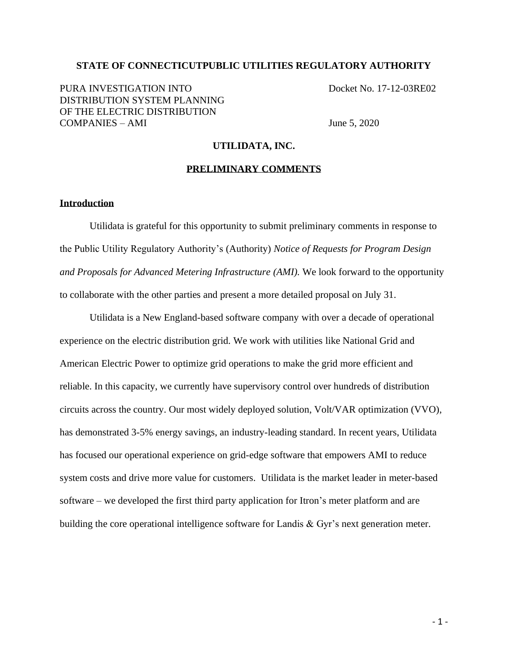# **STATE OF CONNECTICUTPUBLIC UTILITIES REGULATORY AUTHORITY**

PURA INVESTIGATION INTO Docket No. 17-12-03RE02 DISTRIBUTION SYSTEM PLANNING OF THE ELECTRIC DISTRIBUTION COMPANIES – AMI June 5, 2020

### **UTILIDATA, INC.**

# **PRELIMINARY COMMENTS**

### **Introduction**

Utilidata is grateful for this opportunity to submit preliminary comments in response to the Public Utility Regulatory Authority's (Authority) *Notice of Requests for Program Design and Proposals for Advanced Metering Infrastructure (AMI).* We look forward to the opportunity to collaborate with the other parties and present a more detailed proposal on July 31.

Utilidata is a New England-based software company with over a decade of operational experience on the electric distribution grid. We work with utilities like National Grid and American Electric Power to optimize grid operations to make the grid more efficient and reliable. In this capacity, we currently have supervisory control over hundreds of distribution circuits across the country. Our most widely deployed solution, Volt/VAR optimization (VVO), has demonstrated 3-5% energy savings, an industry-leading standard. In recent years, Utilidata has focused our operational experience on grid-edge software that empowers AMI to reduce system costs and drive more value for customers. Utilidata is the market leader in meter-based software – we developed the first third party application for Itron's meter platform and are building the core operational intelligence software for Landis & Gyr's next generation meter.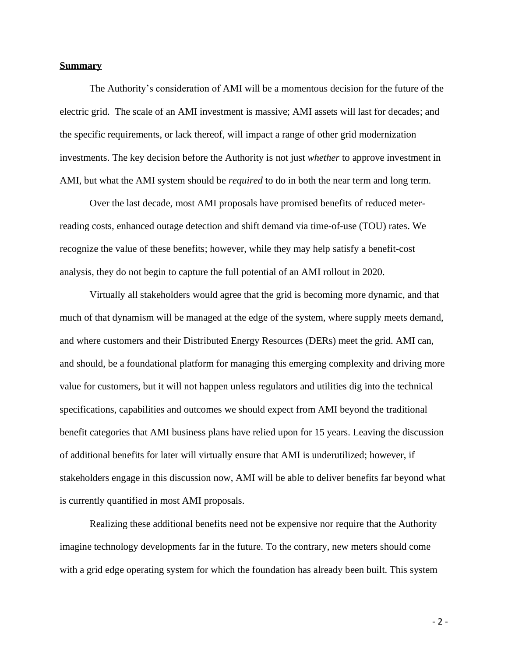# **Summary**

The Authority's consideration of AMI will be a momentous decision for the future of the electric grid. The scale of an AMI investment is massive; AMI assets will last for decades; and the specific requirements, or lack thereof, will impact a range of other grid modernization investments. The key decision before the Authority is not just *whether* to approve investment in AMI, but what the AMI system should be *required* to do in both the near term and long term.

Over the last decade, most AMI proposals have promised benefits of reduced meterreading costs, enhanced outage detection and shift demand via time-of-use (TOU) rates. We recognize the value of these benefits; however, while they may help satisfy a benefit-cost analysis, they do not begin to capture the full potential of an AMI rollout in 2020.

Virtually all stakeholders would agree that the grid is becoming more dynamic, and that much of that dynamism will be managed at the edge of the system, where supply meets demand, and where customers and their Distributed Energy Resources (DERs) meet the grid. AMI can, and should, be a foundational platform for managing this emerging complexity and driving more value for customers, but it will not happen unless regulators and utilities dig into the technical specifications, capabilities and outcomes we should expect from AMI beyond the traditional benefit categories that AMI business plans have relied upon for 15 years. Leaving the discussion of additional benefits for later will virtually ensure that AMI is underutilized; however, if stakeholders engage in this discussion now, AMI will be able to deliver benefits far beyond what is currently quantified in most AMI proposals.

Realizing these additional benefits need not be expensive nor require that the Authority imagine technology developments far in the future. To the contrary, new meters should come with a grid edge operating system for which the foundation has already been built. This system

 $-2-$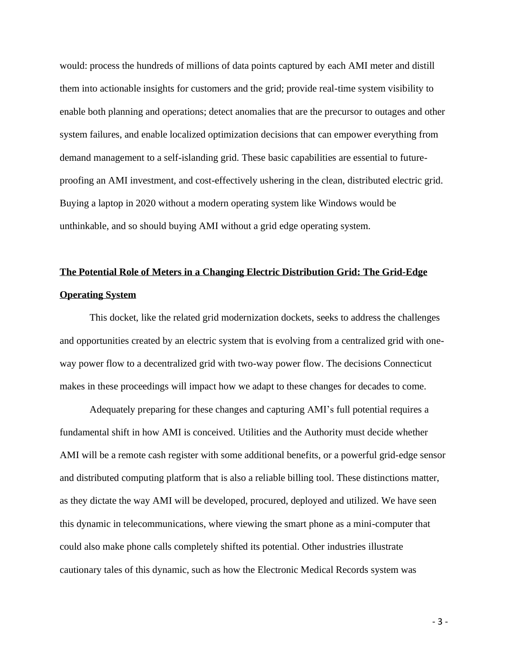would: process the hundreds of millions of data points captured by each AMI meter and distill them into actionable insights for customers and the grid; provide real-time system visibility to enable both planning and operations; detect anomalies that are the precursor to outages and other system failures, and enable localized optimization decisions that can empower everything from demand management to a self-islanding grid. These basic capabilities are essential to futureproofing an AMI investment, and cost-effectively ushering in the clean, distributed electric grid. Buying a laptop in 2020 without a modern operating system like Windows would be unthinkable, and so should buying AMI without a grid edge operating system.

# **The Potential Role of Meters in a Changing Electric Distribution Grid: The Grid-Edge Operating System**

This docket, like the related grid modernization dockets, seeks to address the challenges and opportunities created by an electric system that is evolving from a centralized grid with oneway power flow to a decentralized grid with two-way power flow. The decisions Connecticut makes in these proceedings will impact how we adapt to these changes for decades to come.

Adequately preparing for these changes and capturing AMI's full potential requires a fundamental shift in how AMI is conceived. Utilities and the Authority must decide whether AMI will be a remote cash register with some additional benefits, or a powerful grid-edge sensor and distributed computing platform that is also a reliable billing tool. These distinctions matter, as they dictate the way AMI will be developed, procured, deployed and utilized. We have seen this dynamic in telecommunications, where viewing the smart phone as a mini-computer that could also make phone calls completely shifted its potential. Other industries illustrate cautionary tales of this dynamic, such as how the Electronic Medical Records system was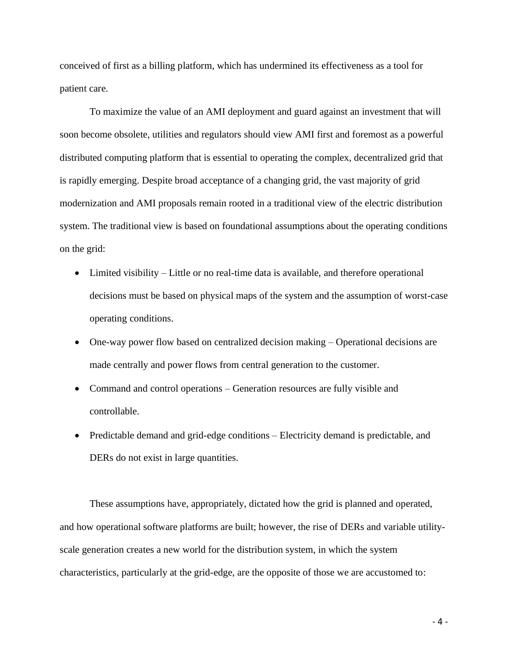conceived of first as a billing platform, which has undermined its effectiveness as a tool for patient care.

To maximize the value of an AMI deployment and guard against an investment that will soon become obsolete, utilities and regulators should view AMI first and foremost as a powerful distributed computing platform that is essential to operating the complex, decentralized grid that is rapidly emerging. Despite broad acceptance of a changing grid, the vast majority of grid modernization and AMI proposals remain rooted in a traditional view of the electric distribution system. The traditional view is based on foundational assumptions about the operating conditions on the grid:

- Limited visibility Little or no real-time data is available, and therefore operational decisions must be based on physical maps of the system and the assumption of worst-case operating conditions.
- One-way power flow based on centralized decision making Operational decisions are made centrally and power flows from central generation to the customer.
- Command and control operations Generation resources are fully visible and controllable.
- Predictable demand and grid-edge conditions Electricity demand is predictable, and DERs do not exist in large quantities.

These assumptions have, appropriately, dictated how the grid is planned and operated, and how operational software platforms are built; however, the rise of DERs and variable utilityscale generation creates a new world for the distribution system, in which the system characteristics, particularly at the grid-edge, are the opposite of those we are accustomed to: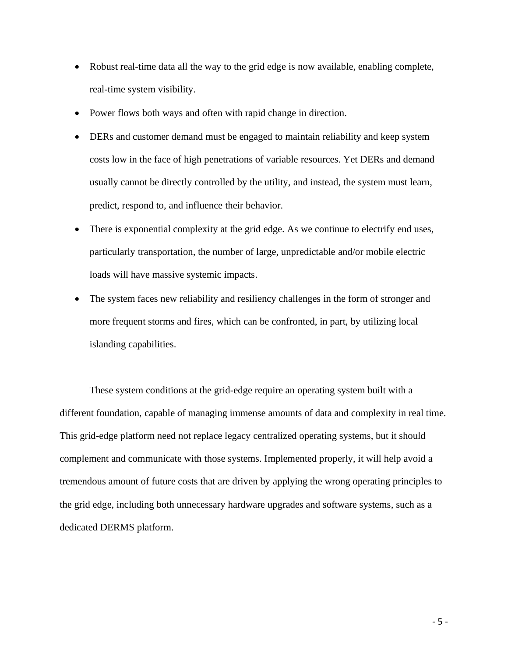- Robust real-time data all the way to the grid edge is now available, enabling complete, real-time system visibility.
- Power flows both ways and often with rapid change in direction.
- DERs and customer demand must be engaged to maintain reliability and keep system costs low in the face of high penetrations of variable resources. Yet DERs and demand usually cannot be directly controlled by the utility, and instead, the system must learn, predict, respond to, and influence their behavior.
- There is exponential complexity at the grid edge. As we continue to electrify end uses, particularly transportation, the number of large, unpredictable and/or mobile electric loads will have massive systemic impacts.
- The system faces new reliability and resiliency challenges in the form of stronger and more frequent storms and fires, which can be confronted, in part, by utilizing local islanding capabilities.

These system conditions at the grid-edge require an operating system built with a different foundation, capable of managing immense amounts of data and complexity in real time. This grid-edge platform need not replace legacy centralized operating systems, but it should complement and communicate with those systems. Implemented properly, it will help avoid a tremendous amount of future costs that are driven by applying the wrong operating principles to the grid edge, including both unnecessary hardware upgrades and software systems, such as a dedicated DERMS platform.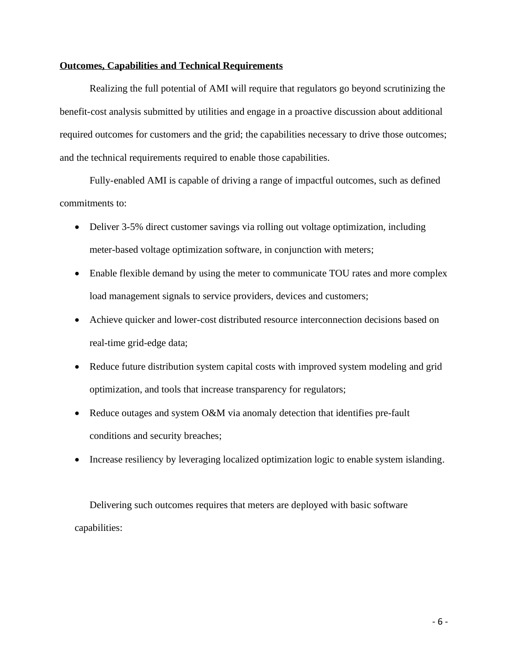### **Outcomes, Capabilities and Technical Requirements**

Realizing the full potential of AMI will require that regulators go beyond scrutinizing the benefit-cost analysis submitted by utilities and engage in a proactive discussion about additional required outcomes for customers and the grid; the capabilities necessary to drive those outcomes; and the technical requirements required to enable those capabilities.

Fully-enabled AMI is capable of driving a range of impactful outcomes, such as defined commitments to:

- Deliver 3-5% direct customer savings via rolling out voltage optimization, including meter-based voltage optimization software, in conjunction with meters;
- Enable flexible demand by using the meter to communicate TOU rates and more complex load management signals to service providers, devices and customers;
- Achieve quicker and lower-cost distributed resource interconnection decisions based on real-time grid-edge data;
- Reduce future distribution system capital costs with improved system modeling and grid optimization, and tools that increase transparency for regulators;
- Reduce outages and system O&M via anomaly detection that identifies pre-fault conditions and security breaches;
- Increase resiliency by leveraging localized optimization logic to enable system islanding.

Delivering such outcomes requires that meters are deployed with basic software capabilities: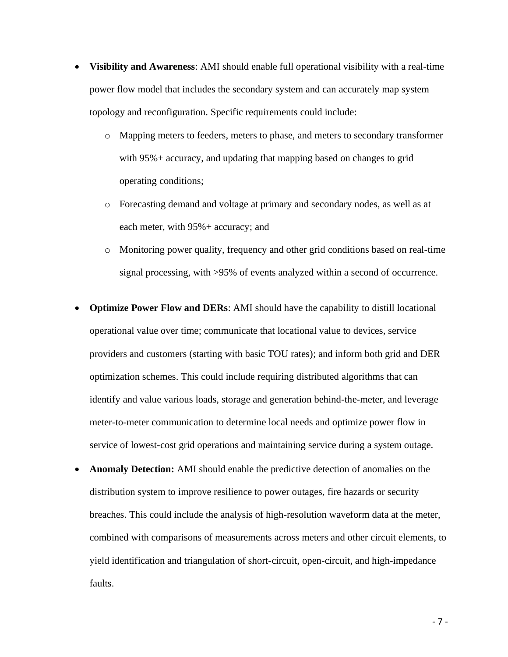- **Visibility and Awareness**: AMI should enable full operational visibility with a real-time power flow model that includes the secondary system and can accurately map system topology and reconfiguration. Specific requirements could include:
	- o Mapping meters to feeders, meters to phase, and meters to secondary transformer with 95% + accuracy, and updating that mapping based on changes to grid operating conditions;
	- o Forecasting demand and voltage at primary and secondary nodes, as well as at each meter, with 95%+ accuracy; and
	- o Monitoring power quality, frequency and other grid conditions based on real-time signal processing, with >95% of events analyzed within a second of occurrence.
- **Optimize Power Flow and DERs**: AMI should have the capability to distill locational operational value over time; communicate that locational value to devices, service providers and customers (starting with basic TOU rates); and inform both grid and DER optimization schemes. This could include requiring distributed algorithms that can identify and value various loads, storage and generation behind-the-meter, and leverage meter-to-meter communication to determine local needs and optimize power flow in service of lowest-cost grid operations and maintaining service during a system outage.
- **Anomaly Detection:** AMI should enable the predictive detection of anomalies on the distribution system to improve resilience to power outages, fire hazards or security breaches. This could include the analysis of high-resolution waveform data at the meter, combined with comparisons of measurements across meters and other circuit elements, to yield identification and triangulation of short-circuit, open-circuit, and high-impedance faults.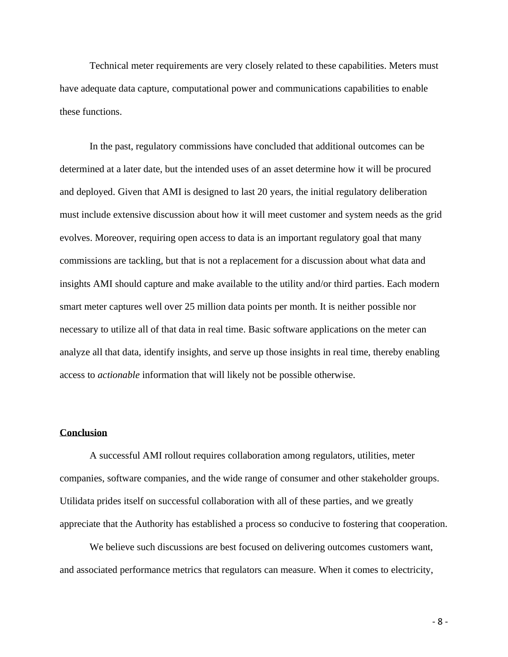Technical meter requirements are very closely related to these capabilities. Meters must have adequate data capture, computational power and communications capabilities to enable these functions.

In the past, regulatory commissions have concluded that additional outcomes can be determined at a later date, but the intended uses of an asset determine how it will be procured and deployed. Given that AMI is designed to last 20 years, the initial regulatory deliberation must include extensive discussion about how it will meet customer and system needs as the grid evolves. Moreover, requiring open access to data is an important regulatory goal that many commissions are tackling, but that is not a replacement for a discussion about what data and insights AMI should capture and make available to the utility and/or third parties. Each modern smart meter captures well over 25 million data points per month. It is neither possible nor necessary to utilize all of that data in real time. Basic software applications on the meter can analyze all that data, identify insights, and serve up those insights in real time, thereby enabling access to *actionable* information that will likely not be possible otherwise.

#### **Conclusion**

A successful AMI rollout requires collaboration among regulators, utilities, meter companies, software companies, and the wide range of consumer and other stakeholder groups. Utilidata prides itself on successful collaboration with all of these parties, and we greatly appreciate that the Authority has established a process so conducive to fostering that cooperation.

We believe such discussions are best focused on delivering outcomes customers want, and associated performance metrics that regulators can measure. When it comes to electricity,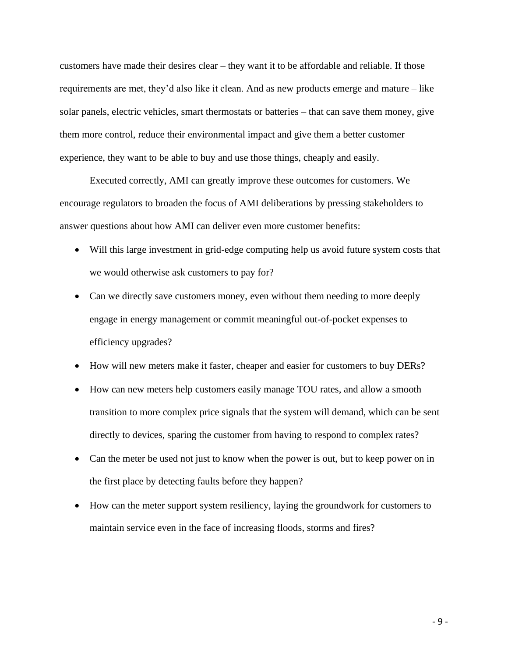customers have made their desires clear – they want it to be affordable and reliable. If those requirements are met, they'd also like it clean. And as new products emerge and mature – like solar panels, electric vehicles, smart thermostats or batteries – that can save them money, give them more control, reduce their environmental impact and give them a better customer experience, they want to be able to buy and use those things, cheaply and easily.

Executed correctly, AMI can greatly improve these outcomes for customers. We encourage regulators to broaden the focus of AMI deliberations by pressing stakeholders to answer questions about how AMI can deliver even more customer benefits:

- Will this large investment in grid-edge computing help us avoid future system costs that we would otherwise ask customers to pay for?
- Can we directly save customers money, even without them needing to more deeply engage in energy management or commit meaningful out-of-pocket expenses to efficiency upgrades?
- How will new meters make it faster, cheaper and easier for customers to buy DERs?
- How can new meters help customers easily manage TOU rates, and allow a smooth transition to more complex price signals that the system will demand, which can be sent directly to devices, sparing the customer from having to respond to complex rates?
- Can the meter be used not just to know when the power is out, but to keep power on in the first place by detecting faults before they happen?
- How can the meter support system resiliency, laying the groundwork for customers to maintain service even in the face of increasing floods, storms and fires?